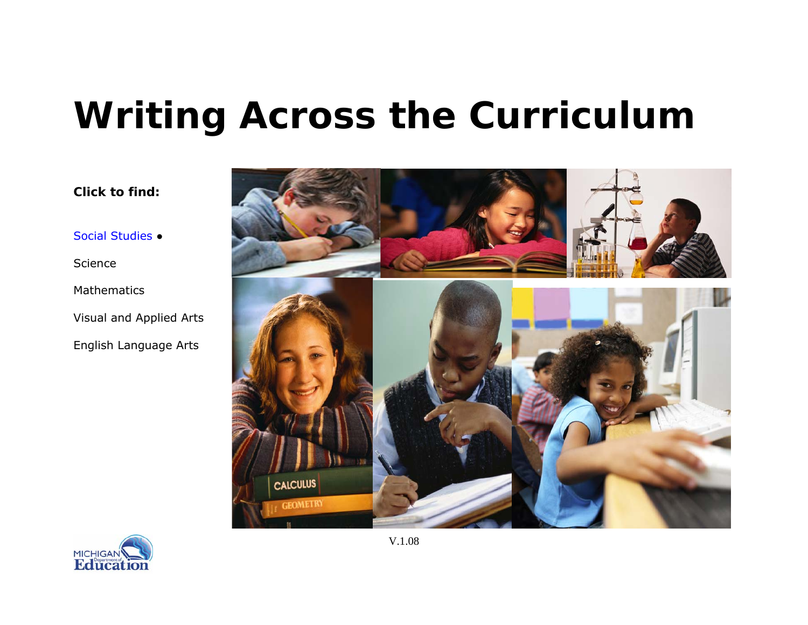# <span id="page-0-0"></span>**Writing Across the Curriculum**





*Click to find:* 

Social Studies ●

Science

Mathematics

V.1.08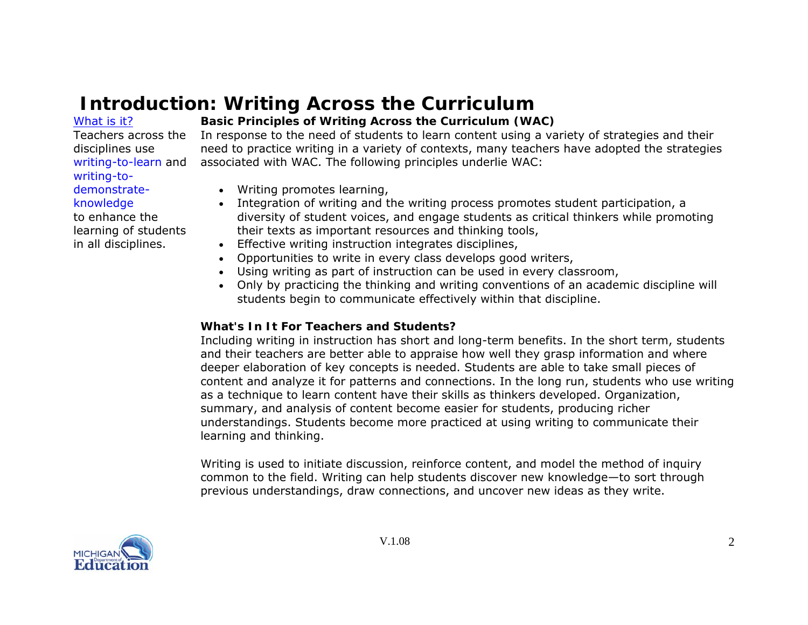# **Introduction: Writing Across the Curriculum**

#### What is it?

Teachers across the disciplines use writing-to-learn and writing-todemonstrateknowledge

to enhance the learning of students in all disciplines.

# **Basic Principles of Writing Across the Curriculum (WAC)**

In response to the need of students to learn content using a variety of strategies and their need to practice writing in a variety of contexts, many teachers have adopted the strategies associated with WAC. The following principles underlie WAC:

- Writing promotes learning,
- Integration of writing and the writing process promotes student participation, a diversity of student voices, and engage students as critical thinkers while promoting their texts as important resources and thinking tools,
- Effective writing instruction integrates disciplines,
- Opportunities to write in every class develops good writers,
- Using writing as part of instruction can be used in every classroom,
- Only by practicing the thinking and writing conventions of an academic discipline will students begin to communicate effectively within that discipline.

### **What's In It For Teachers and Students?**

Including writing in instruction has short and long-term benefits. In the short term, students and their teachers are better able to appraise how well they grasp information and where deeper elaboration of key concepts is needed. Students are able to take small pieces of content and analyze it for patterns and connections. In the long run, students who use writing as a technique to learn content have their skills as thinkers developed. Organization, summary, and analysis of content become easier for students, producing richer understandings. Students become more practiced at using writing to communicate their learning and thinking.

Writing is used to initiate discussion, reinforce content, and model the method of inquiry common to the field. Writing can help students discover new knowledge—to sort through previous understandings, draw connections, and uncover new ideas as they write.

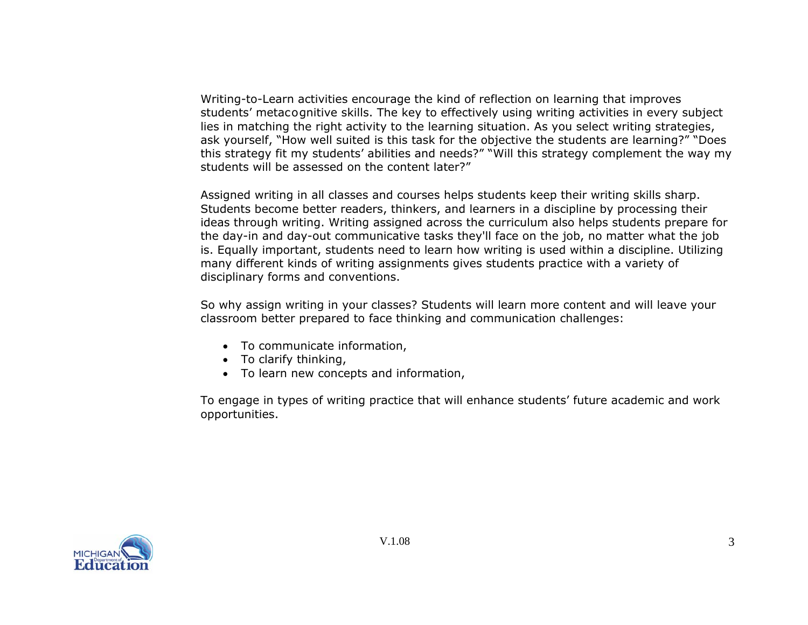Writing-to-Learn activities encourage the kind of reflection on learning that improves students' metacognitive skills. The key to effectively using writing activities in every subject lies in matching the right activity to the learning situation. As you select writing strategies, ask yourself, "How well suited is this task for the objective the students are learning?" "Does this strategy fit my students' abilities and needs?" "Will this strategy complement the way my students will be assessed on the content later?"

Assigned writing in all classes and courses helps students keep their writing skills sharp. Students become better readers, thinkers, and learners in a discipline by processing their ideas through writing. Writing assigned across the curriculum also helps students prepare for the day-in and day-out communicative tasks they'll face on the job, no matter what the job is. Equally important, students need to learn how writing is used within a discipline. Utilizing many different kinds of writing assignments gives students practice with a variety of disciplinary forms and conventions.

So why assign writing in your classes? Students will learn more content and will leave your classroom better prepared to face thinking and communication challenges:

- To communicate information,
- To clarify thinking,
- To learn new concepts and information,

To engage in types of writing practice that will enhance students' future academic and work opportunities.

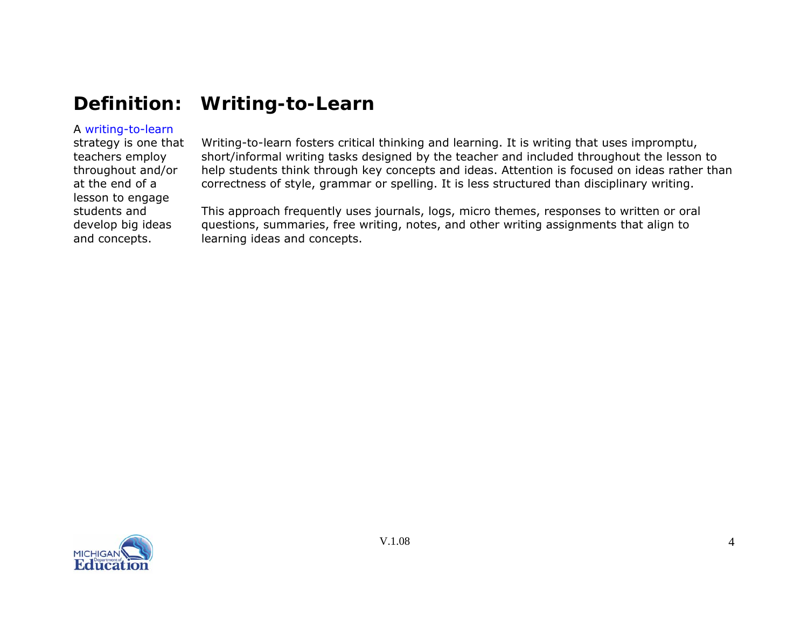# <span id="page-3-0"></span>**Definition: Writing-to-Learn**

# A writing-to-learn

strategy is one that teachers employ throughout and/or at the end of a lesson to engage students and develop big ideas and concepts.

Writing-to-learn fosters critical thinking and learning. It is writing that uses impromptu, short/informal writing tasks designed by the teacher and included throughout the lesson to help students think through key concepts and ideas. Attention is focused on ideas rather than correctness of style, grammar or spelling. It is less structured than disciplinary writing.

This approach frequently uses journals, logs, micro themes, responses to written or oral questions, summaries, free writing, notes, and other writing assignments that align to learning ideas and concepts.

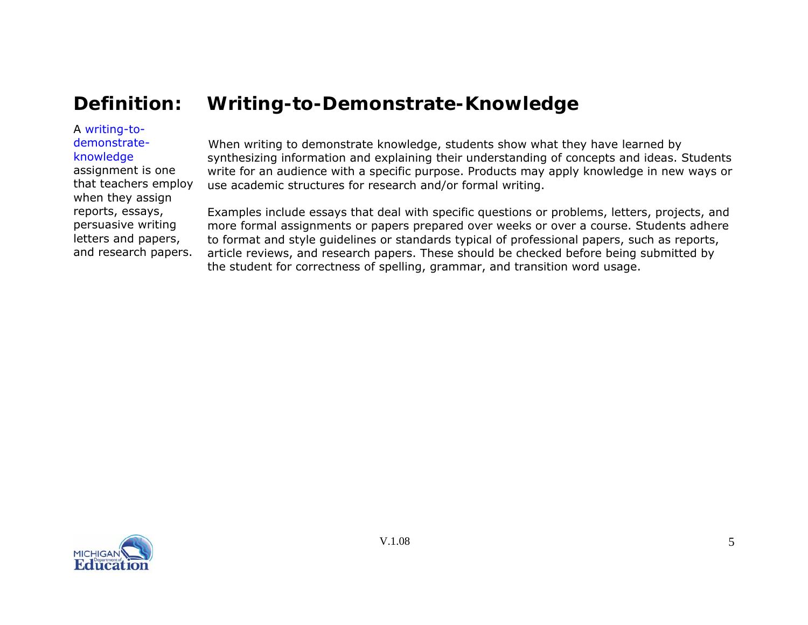# <span id="page-4-0"></span>**Definition: Writing-to-Demonstrate-Knowledge**

### A writing-todemonstrate-

knowledge

assignment is one that teachers employ when they assign reports, essays, persuasive writing letters and papers, and research papers.

When writing to demonstrate knowledge, students show what they have learned by synthesizing information and explaining their understanding of concepts and ideas. Students write for an audience with a specific purpose. Products may apply knowledge in new ways or use academic structures for research and/or formal writing.

Examples include essays that deal with specific questions or problems, letters, projects, and more formal assignments or papers prepared over weeks or over a course. Students adhere to format and style guidelines or standards typical of professional papers, such as reports, article reviews, and research papers. These should be checked before being submitted by the student for correctness of spelling, grammar, and transition word usage.

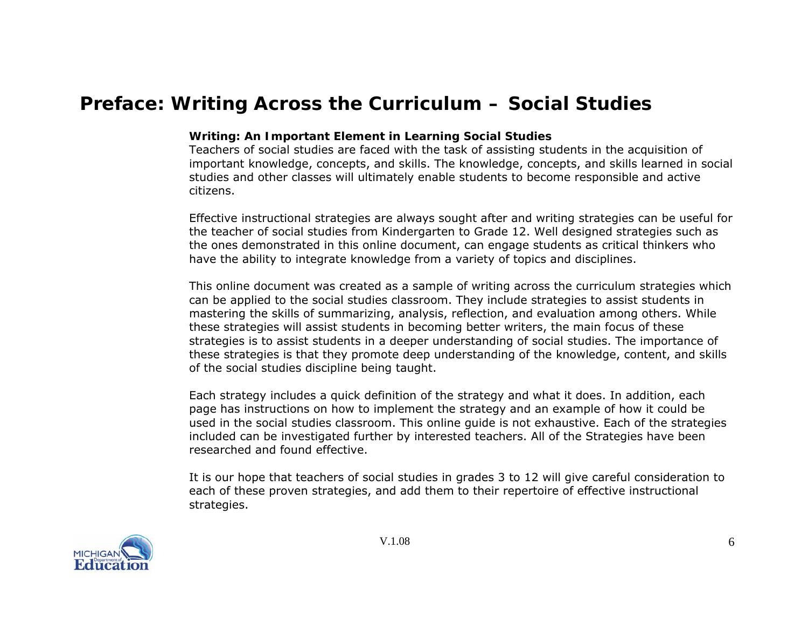# <span id="page-5-0"></span> **Preface: Writing Across the Curriculum – Social Studies**

#### **Writing: An Important Element in Learning Social Studies**

Teachers of social studies are faced with the task of assisting students in the acquisition of important knowledge, concepts, and skills. The knowledge, concepts, and skills learned in social studies and other classes will ultimately enable students to become responsible and active citizens.

Effective instructional strategies are always sought after and writing strategies can be useful for the teacher of social studies from Kindergarten to Grade 12. Well designed strategies such as the ones demonstrated in this online document, can engage students as critical thinkers who have the ability to integrate knowledge from a variety of topics and disciplines.

This online document was created as a sample of writing across the curriculum strategies which can be applied to the social studies classroom. They include strategies to assist students in mastering the skills of summarizing, analysis, reflection, and evaluation among others. While these strategies will assist students in becoming better writers, the main focus of these strategies is to assist students in a deeper understanding of social studies. The importance of these strategies is that they promote deep understanding of the knowledge, content, and skills of the social studies discipline being taught.

Each strategy includes a quick definition of the strategy and what it does. In addition, each page has instructions on how to implement the strategy and an example of how it could be used in the social studies classroom. This online guide is not exhaustive. Each of the strategies included can be investigated further by interested teachers. All of the Strategies have been researched and found effective.

It is our hope that teachers of social studies in grades 3 to 12 will give careful consideration to each of these proven strategies, and add them to their repertoire of effective instructional strategies.

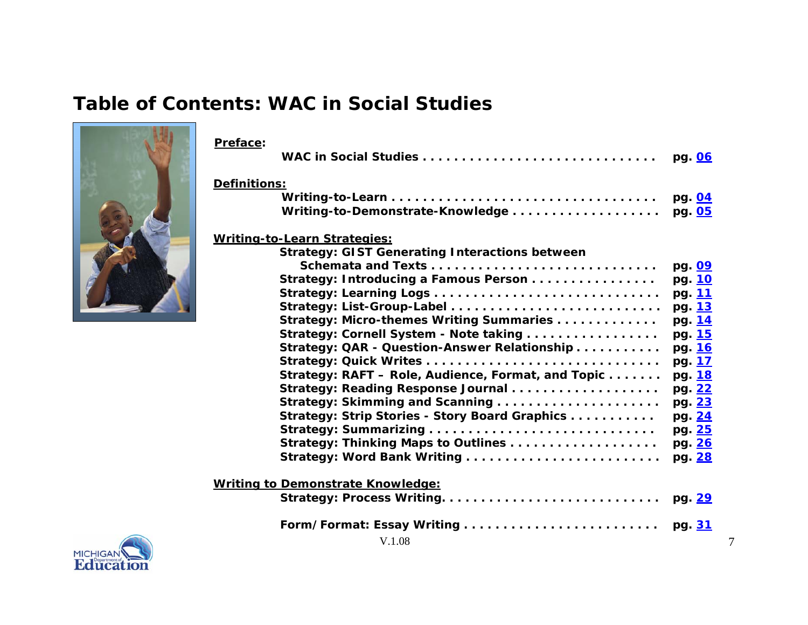# **Table of Contents: WAC in Social Studies**



| Preface:                                              |        |
|-------------------------------------------------------|--------|
|                                                       | pg. 06 |
| Definitions:                                          |        |
|                                                       | pg. 04 |
| Writing-to-Demonstrate-Knowledge                      | pg. 05 |
| Writing-to-Learn Strategies:                          |        |
| <b>Strategy: GIST Generating Interactions between</b> |        |
|                                                       | pg. 09 |
| Strategy: Introducing a Famous Person                 | pg. 10 |
|                                                       | pg. 11 |
|                                                       | pg. 13 |
| Strategy: Micro-themes Writing Summaries              | pg. 14 |
| Strategy: Cornell System - Note taking                | pg. 15 |
| Strategy: QAR - Question-Answer Relationship          | pg. 16 |
|                                                       | pg. 17 |
| Strategy: RAFT - Role, Audience, Format, and Topic    | pg. 18 |
| Strategy: Reading Response Journal                    | pg. 22 |
|                                                       | pg. 23 |
| Strategy: Strip Stories - Story Board Graphics        | pg. 24 |
|                                                       | pg. 25 |
|                                                       | pg. 26 |
|                                                       | pg. 28 |
| <b>Writing to Demonstrate Knowledge:</b>              |        |
|                                                       | pg. 29 |
|                                                       | pg. 31 |
| V.1.08                                                |        |

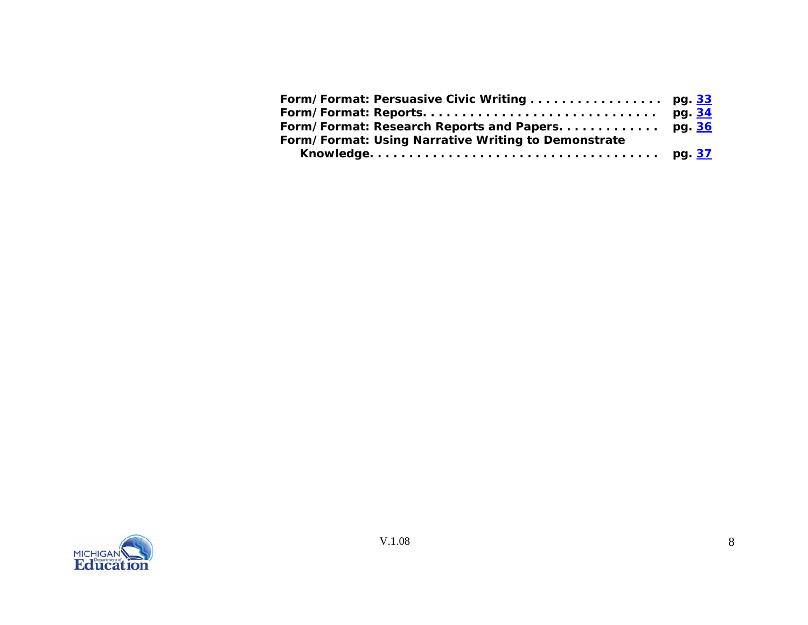| Form/Format: Using Narrative Writing to Demonstrate |  |
|-----------------------------------------------------|--|
|                                                     |  |

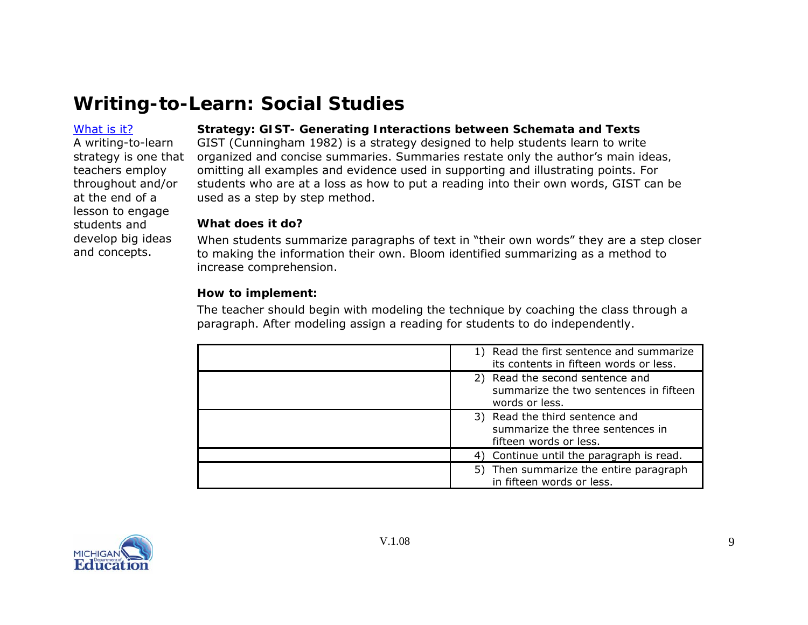#### <span id="page-8-0"></span>[What](#page-0-0) is it?

A writing-to-learn teachers employ throughout and/or at the end of a lesson to engage students and develop big ideas and concepts.

# **Strategy: GIST- Generating Interactions between Schemata and Texts**

strategy is one that organized and concise summaries. Summaries *restate only* the author's *main ideas,* GIST (Cunningham 1982) is a strategy designed to help students learn to write omitting all examples and evidence used in supporting and illustrating points. For students who are at a loss as how to put a reading into their own words, GIST can be used as a step by step method.

#### **What does it do?**

When students summarize paragraphs of text in "their own words" they are a step closer to making the information their own. Bloom identified summarizing as a method to increase comprehension.

### **How to implement:**

The teacher should begin with modeling the technique by coaching the class through a paragraph. After modeling assign a reading for students to do independently.

| 1) Read the first sentence and summarize<br>its contents in fifteen words or less.                  |
|-----------------------------------------------------------------------------------------------------|
| 2) Read the second sentence and<br>summarize the two sentences in fifteen<br>words or less.         |
| 3) Read the third sentence and<br>summarize the <i>three</i> sentences in<br>fifteen words or less. |
| 4) Continue until the paragraph is read.                                                            |
| 5) Then summarize the entire paragraph<br>in fifteen words or less.                                 |

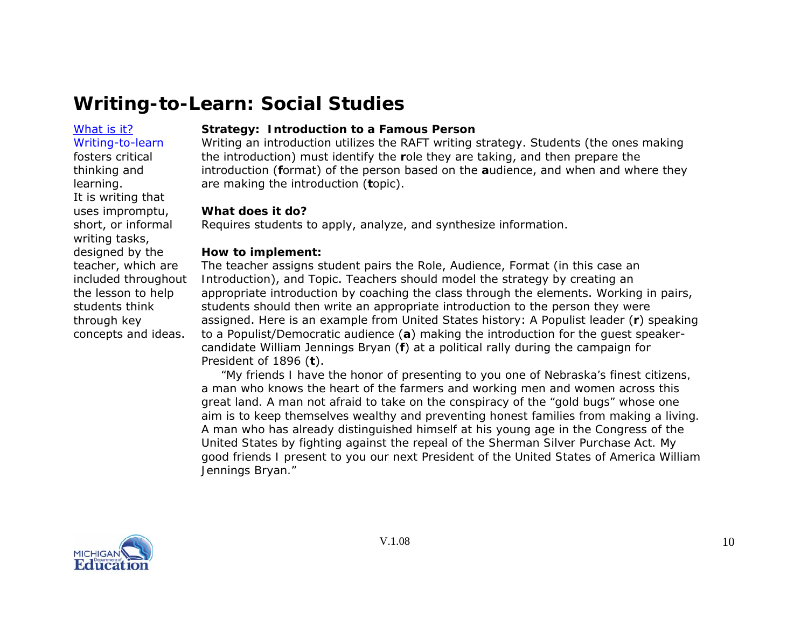# <span id="page-9-0"></span>[What](#page-0-0) is it?

Writing-to-learn fosters critical thinking and learning. It is writing that uses impromptu, short, or informal writing tasks, designed by the teacher, which are included throughout the lesson to help students think through key concepts and ideas.

# **Strategy: Introduction to a Famous Person**

Writing an introduction utilizes the RAFT writing strategy. Students (the ones making the introduction) must identify the **r**ole they are taking, and then prepare the introduction (**f**ormat) of the person based on the **<sup>a</sup>**udience, and when and where they are making the introduction (**t**opic).

#### **What does it do?**

Requires students to apply, analyze, and synthesize information.

#### **How to implement:**

The teacher assigns student pairs the Role, Audience, Format (in this case *an Introduction*), and Topic. Teachers should model the strategy by creating an appropriate introduction by coaching the class through the elements. Working in pairs, students should then write an appropriate introduction to the person they were assigned. Here is an example from United States history: A Populist leader (**r**) speaking to a Populist/Democratic audience ( **a**) making the introduction for the guest speakercandidate William Jennings Bryan (**f**) at a political rally during the campaign for President of 1896 (**t**).

 *"My friends I have the honor of presenting to you one of Nebraska's finest citizens, a man who knows the heart of the farmers and working men and women across this great land. A man not afraid to take on the conspiracy of the "gold bugs" whose one aim is to keep themselves wealthy and preventing honest families from making a living. A man who has already distinguished himself at his young age in the Congress of the United States by fighting against the repeal of the Sherman Silver Purchase Act. My good friends I present to you our next President of the United States of America William Jennings Bryan."* 

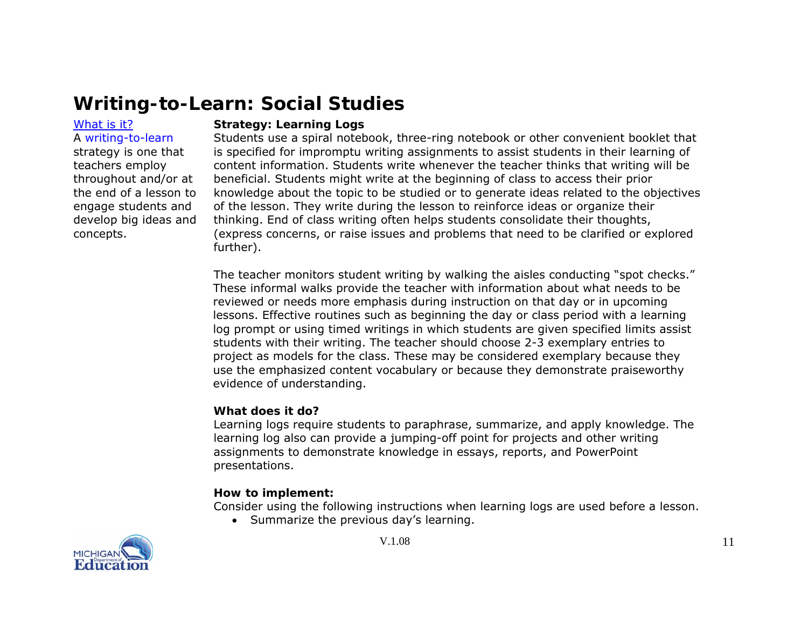#### [What](#page-0-0) is it?

# A writing-to-learn

strategy is one that teachers employ throughout and/or at the end of a lesson to engage students and develop big ideas and concepts.

#### **Strategy: Learning Logs**

Students use a spiral notebook, three-ring notebook or other convenient booklet that is specified for impromptu writing assignments to assist students in their learning of content information. Students write whenever the teacher thinks that writing will be beneficial. Students might write at the beginning of class to access their prior knowledge about the topic to be studied or to generate ideas related to the objectives of the lesson. They write during the lesson to reinforce ideas or organize their thinking. End of class writing often helps students consolidate their thoughts, (express concerns, or raise issues and problems that need to be clarified or explored further).

The teacher monitors student writing by walking the aisles conducting "spot checks." These informal walks provide the teacher with information about what needs to be reviewed or needs more emphasis during instruction on that day or in upcoming lessons. Effective routines such as beginning the day or class period with a learning log prompt or using timed writings in which students are given specified limits assist students with their writing. The teacher should choose 2-3 exemplary entries to project as models for the class. These may be considered exemplary because they use the emphasized content vocabulary or because they demonstrate praiseworthy evidence of understanding.

#### **What does it do?**

Learning logs require students to paraphrase, summarize, and apply knowledge. The learning log also can provide a jumping-off point for projects and other writing assignments to demonstrate knowledge in essays, reports, and PowerPoint presentations.

#### **How to implement:**

Consider using the following instructions when learning logs are used before a lesson.

• Summarize the previous day's learning.

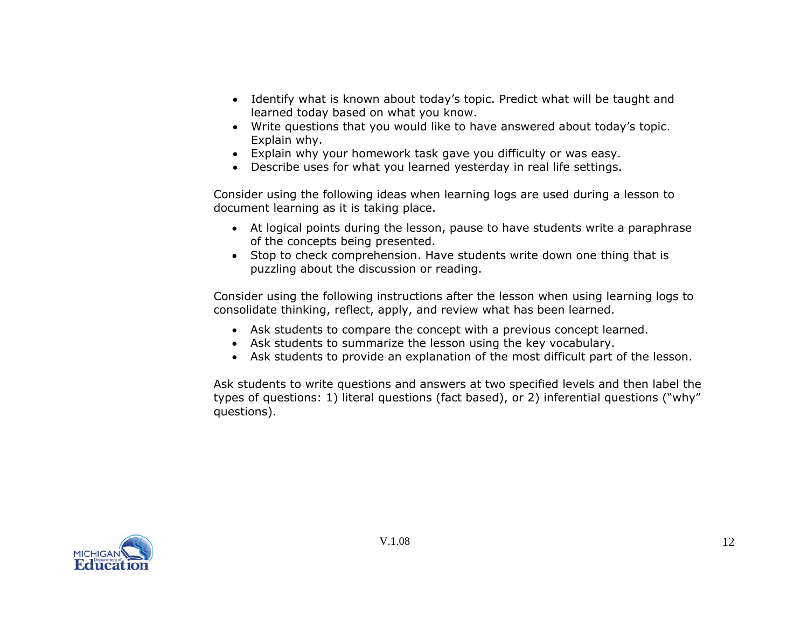- Identify what is known about today's topic. Predict what will be taught and learned today based on what you know.
- Write questions that you would like to have answered about today's topic. Explain why.
- Explain why your homework task gave you difficulty or was easy.
- Describe uses for what you learned yesterday in real life settings.

Consider using the following ideas when learning logs are used during a lesson to document learning as it is taking place.

- At logical points during the lesson, pause to have students write a paraphrase of the concepts being presented.
- Stop to check comprehension. Have students write down one thing that is puzzling about the discussion or reading.

Consider using the following instructions after the lesson when using learning logs to consolidate thinking, reflect, apply, and review what has been learned.

- Ask students to compare the concept with a previous concept learned.
- Ask students to summarize the lesson using the key vocabulary.
- Ask students to provide an explanation of the most difficult part of the lesson.

Ask students to write questions and answers at two specified levels and then label the types of questions: 1) literal questions (fact based), or 2) inferential questions ("why" questions).

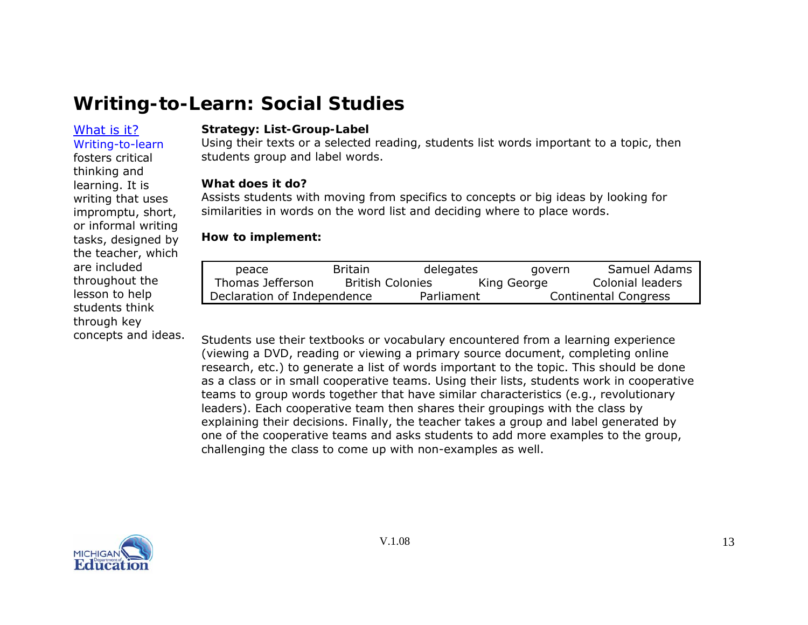### [What](#page-0-0) is it?Writing-to-learn

fosters critical thinking and learning. It is writing that uses impromptu, short, or informal writing tasks, designed by the teacher, which

are included throughout the lesson to help students think through key

concepts and ideas.

**Strategy: List-Group-Label** 

Using their texts or a selected reading, students list words important to a topic, then students group and label words.

#### **What does it do?**

Assists students with moving from specifics to concepts or big ideas by looking for similarities in words on the word list and deciding where to place words.

#### **How to implement:**

| peace                       | <b>Britain</b>          | delegates  | govern      | Samuel Adams         |
|-----------------------------|-------------------------|------------|-------------|----------------------|
| Thomas Jefferson            | <b>British Colonies</b> |            | King George | Colonial leaders     |
| Declaration of Independence |                         | Parliament |             | Continental Congress |

Students use their textbooks or vocabulary encountered from a learning experience (viewing a DVD, reading or viewing a primary source document, completing online research, etc.) to generate a list of words important to the topic. This should be done as a class or in small cooperative teams. Using their lists, students work in cooperative teams to group words together that have similar characteristics (e.g., revolutionary leaders). Each cooperative team then shares their groupings with the class by explaining their decisions. Finally, the teacher takes a group and label generated by one of the cooperative teams and asks students to add more examples to the group, challenging the class to come up with non-examples as well.

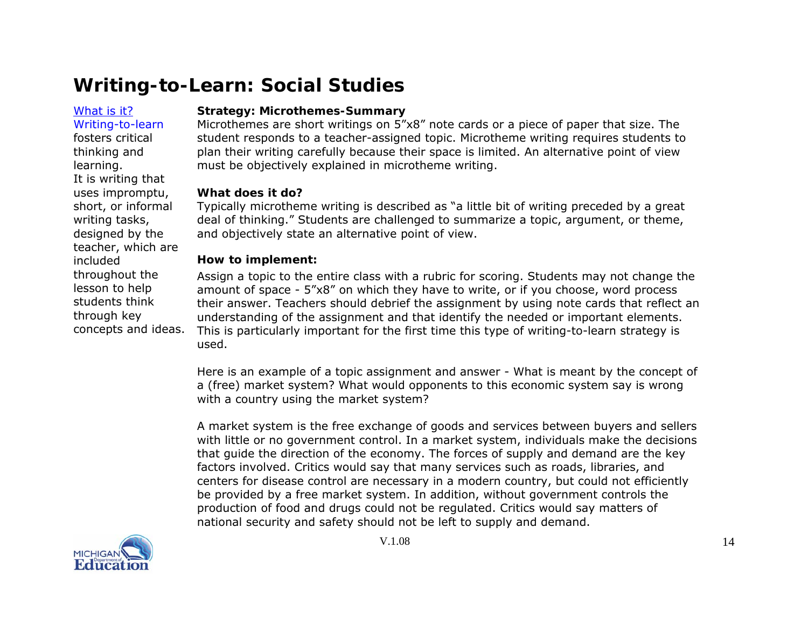#### [What](#page-0-0) is it?

### Writing-to-learn fosters critical thinking and learning. It is writing that uses impromptu, short, or informal writing tasks, designed by the teacher, which are included throughout the lesson to help

students think through key concepts and ideas.

### **Strategy: Microthemes-Summary**

Microthemes are short writings on 5"x8" note cards or a piece of paper that size. The student responds to a teacher-assigned topic. Microtheme writing requires students to plan their writing carefully because their space is limited. An alternative point of view must be objectively explained in microtheme writing.

### **What does it do?**

Typically microtheme writing is described as "a little bit of writing preceded by a great deal of thinking." Students are challenged to summarize a topic, argument, or theme, and objectively state an alternative point of view.

### **How to implement:**

Assign a topic to the entire class with a rubric for scoring. Students may not change the amount of space - 5"x8" on which they have to write, or if you choose, word process their answer. Teachers should debrief the assignment by using note cards that reflect an understanding of the assignment and that identify the needed or important elements. This is particularly important for the first time this type of writing-to-learn strategy is used.

Here is an example of a topic assignment and answer - What is meant by the concept of a (free) market system? What would opponents to this economic system say is wrong with a country using the market system?

A market system is the free exchange of goods and services between buyers and sellers with little or no government control. In a market system, individuals make the decisions that guide the direction of the economy. The forces of supply and demand are the key factors involved. Critics would say that many services such as roads, libraries, and centers for disease control are necessary in a modern country, but could not efficiently be provided by a free market system. In addition, without government controls the production of food and drugs could not be regulated. Critics would say matters of national security and safety should not be left to supply and demand.

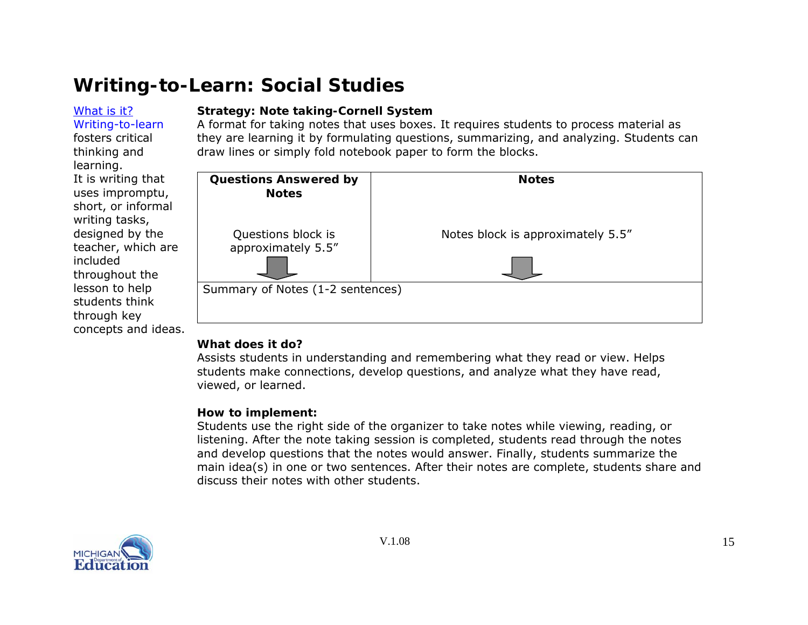#### <span id="page-14-0"></span>[What](#page-0-0) is it?Writing-to-learn

fosters critical thinking and learning.

It is writing that uses impromptu, short, or informal writing tasks, designed by the teacher, which are

included

throughout the lesson to help students think through key

concepts and ideas.

# **Strategy: Note taking-Cornell System**

A format for taking notes that uses boxes. It requires students to process material as they are learning it by formulating questions, summarizing, and analyzing. Students can draw lines or simply fold notebook paper to form the blocks.

| <b>Questions Answered by</b><br><b>Notes</b> | <b>Notes</b>                      |
|----------------------------------------------|-----------------------------------|
| Questions block is<br>approximately 5.5"     | Notes block is approximately 5.5" |
| Summary of Notes (1-2 sentences)             |                                   |

# **What does it do?**

Assists students in understanding and remembering what they read or view. Helps students make connections, develop questions, and analyze what they have read, viewed, or learned.

# **How to implement:**

Students use the right side of the organizer to take notes while viewing, reading, or listening. After the note taking session is completed, students read through the notes and develop questions that the notes would answer. Finally, students summarize the main idea(s) in one or two sentences. After their notes are complete, students share and discuss their notes with other students.

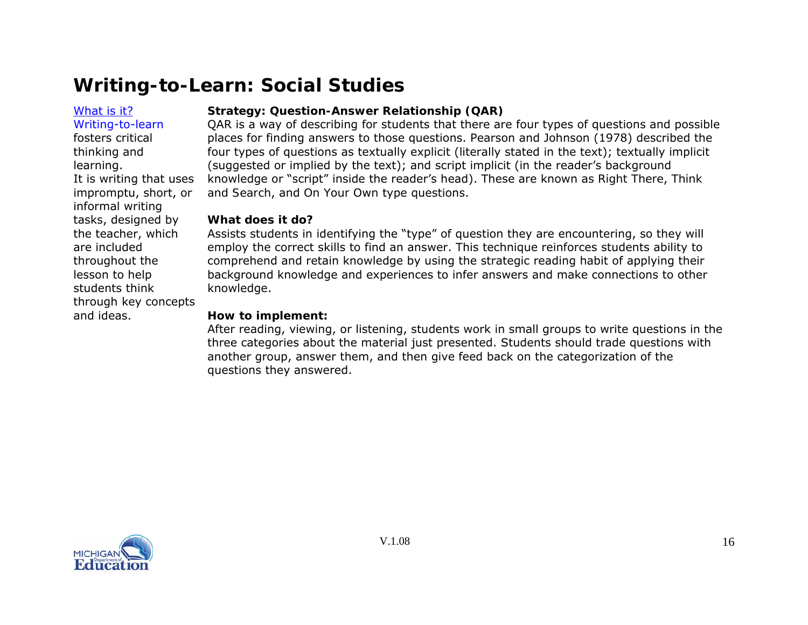### <span id="page-15-0"></span>[What](#page-0-0) is it?

Writing-to-learn fosters critical thinking and learning.

informal writing tasks, designed by the teacher, which

are included throughout the lesson to help students think

and ideas.

It is writing that uses impromptu, short, or

through key concepts

# **Strategy: Question-Answer Relationship (QAR)**

QAR is a way of describing for students that there are four types of questions and possible places for finding answers to those questions. Pearson and Johnson (1978) described the four types of questions as textually explicit (literally stated in the text); textually implicit (suggested or implied by the text); and script implicit (in the reader's background knowledge or "script" inside the reader's head). These are known as *Right There*, *Think and Search*, and *On Your Own* type questions.

### **What does it do?**

Assists students in identifying the "type" of question they are encountering, so they will employ the correct skills to find an answer. This technique reinforces students ability to comprehend and retain knowledge by using the strategic reading habit of applying their background knowledge and experiences to infer answers and make connections to other knowledge.

### **How to implement:**

After reading, viewing, or listening, students work in small groups to write questions in the three categories about the material just presented. Students should trade questions with another group, answer them, and then give feed back on the categorization of the questions they answered.

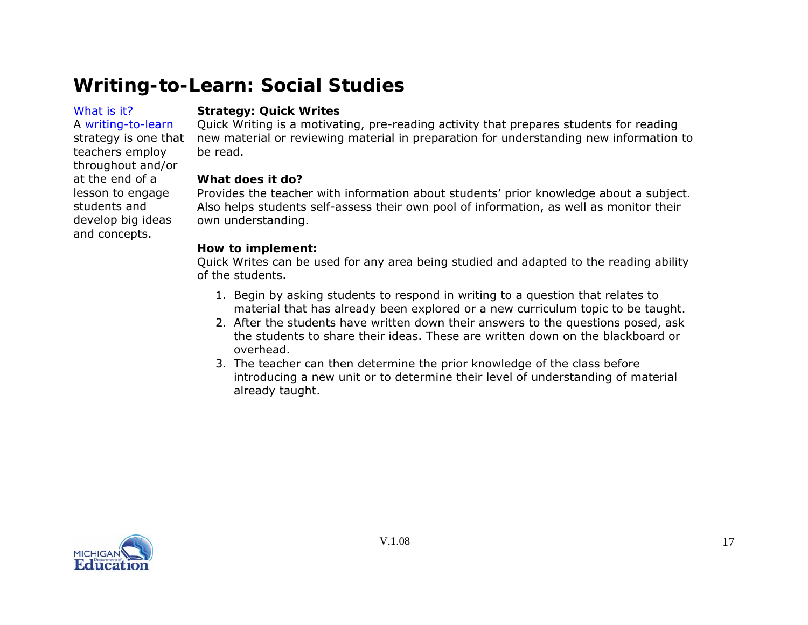#### <span id="page-16-0"></span>[What](#page-0-0) is it?A writing-to-learn

teachers employ throughout and/or at the end of a lesson to engage students and develop big ideas and concepts.

### **Strategy: Quick Writes**

strategy is one that new material or reviewing material in preparation for understanding new information to Quick Writing is a motivating, pre-reading activity that prepares students for reading be read.

# **What does it do?**

Provides the teacher with information about students' prior knowledge about a subject. Also helps students self-assess their own pool of information, as well as monitor their own understanding.

### **How to implement:**

Quick Writes can be used for any area being studied and adapted to the reading ability of the students.

- 1. Begin by asking students to respond in writing to a question that relates to material that has already been explored or a new curriculum topic to be taught.
- 2. After the students have written down their answers to the questions posed, ask the students to share their ideas. These are written down on the blackboard or overhead.
- 3. The teacher can then determine the prior knowledge of the class before introducing a new unit or to determine their level of understanding of material already taught.

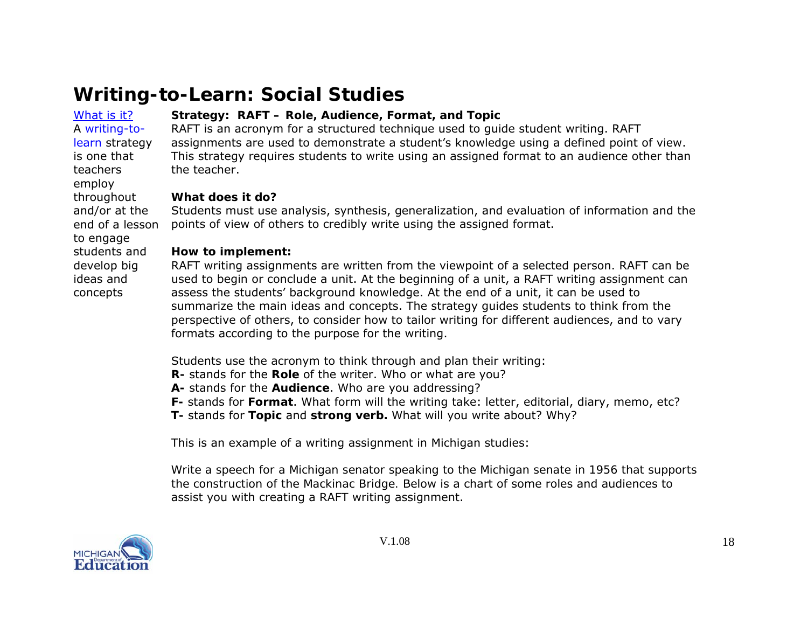#### <span id="page-17-0"></span>[What](#page-0-0) is it? A writing-to-

to engage students and develop big ideas and concepts

learn strategy is one that teachers employ throughout

# **Strategy: RAFT – Role, Audience, Format, and Topic**

RAFT is an acronym for a structured technique used to guide student writing. RAFT assignments are used to demonstrate a student's knowledge using a defined point of view. This strategy requires students to write using an assigned format to an audience other than the teacher.

### **What does it do?**

and/or at the end of a lesson Students must use analysis, synthesis, generalization, and evaluation of information and the points of view of others to credibly write using the assigned format.

#### **How to implement:**

RAFT writing assignments are written from the viewpoint of a selected person. RAFT can be used to begin or conclude a unit. At the beginning of a unit, a RAFT writing assignment can assess the students' background knowledge. At the end of a unit, it can be used to summarize the main ideas and concepts. The strategy guides students to think from the perspective of others, to consider how to tailor writing for different audiences, and to vary formats according to the purpose for the writing.

Students use the acronym to think through and plan their writing:

- **R-** stands for the **Role** of the writer. Who or what are you?
- **A-** stands for the **Audience**. Who are you addressing?
- **F-** stands for **Format**. What form will the writing take: letter, editorial, diary, memo, etc?
- **T-** stands for **Topic** and **strong verb.** What will you write about? Why?

This is an example of a writing assignment in Michigan studies:

*Write a speech for a Michigan senator speaking to the Michigan senate in 1956 that supports the construction of the Mackinac Bridge.* Below is a chart of some roles and audiences to assist you with creating a RAFT writing assignment.

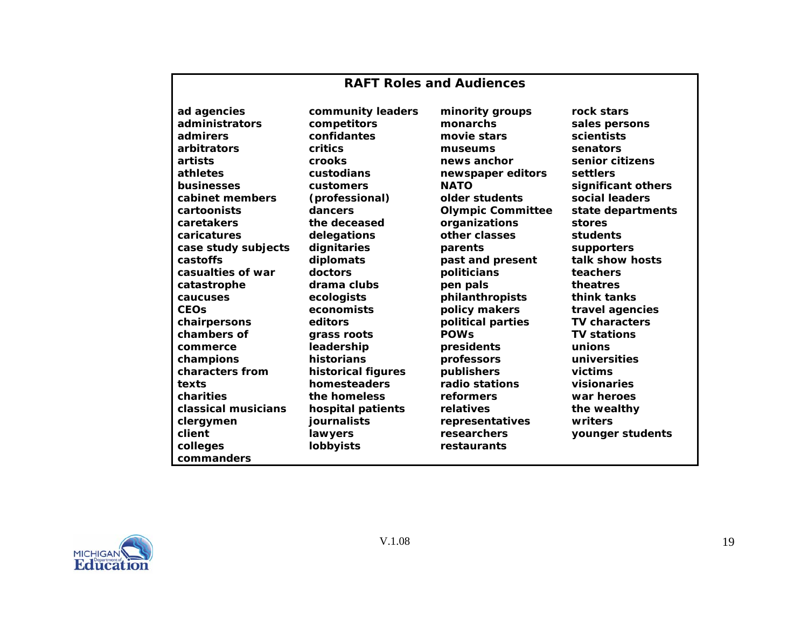### **RAFT Roles and Audiences**

**ad agencies administrators admirers arbitrators artists athletes businesses cabinet members cartoonists caretakers caricatures case study subjects castoffs casualties of war catastrophe caucuses CEOs chairpersons chambers of commerce champions characters from texts charities classical musicians clergymen client colleges commanders**

**community leaders competitors confidantes critics crooks custodians customers (professional) dancers the deceased delegations dignitaries diplomats doctors drama clubs ecologists economists editors grass roots leadership historians historical figures homesteaders the homeless hospital patients journalists lawyers lobbyists**

**minority groups monarchs movie stars museums news anchor newspaper editors NATO older students Olympic Committee organizations other classes parents past and present politicians pen pals philanthropists policy makers political parties POWs presidents professors publishers radio stations reformers relatives representatives researchers restaurants**

**rock stars sales persons scientists senators senior citizens settlers significant others social leaders state departments stores students supporters talk show hosts teachers theatres think tanks travel agencies TV characters TV stations unions universities victims visionaries war heroes the wealthy writers younger students**

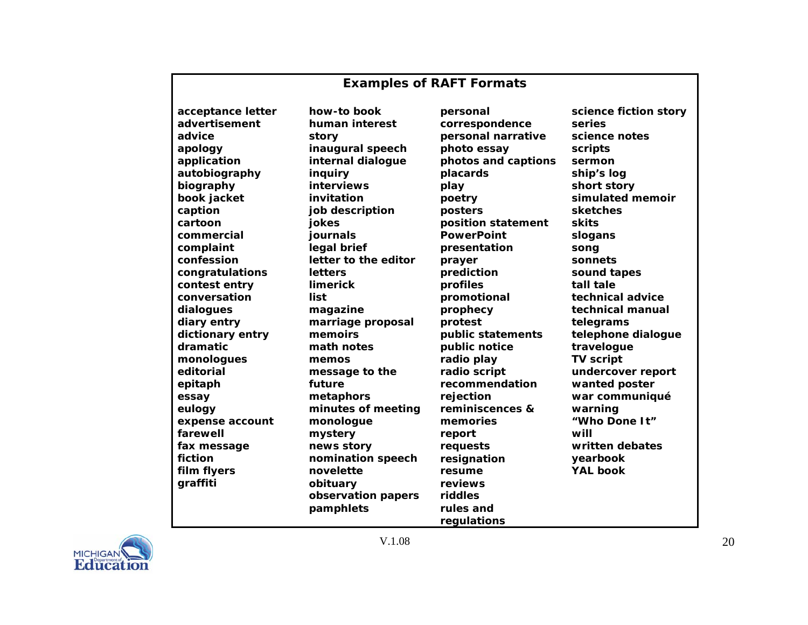# **Examples of RAFT Formats**

**acceptance letter advertisement advice apology application autobiography biography book jacket caption cartoon commercial complaint confession congratulations contest entry conversation dialogues diary entry dictionary entry dramatic monologues editorial epitaph essay eulogy expense account farewell fax message fiction film flyers graffiti** 

**how-to book human interest story inaugural speech internal dialogue inquiry interviews invitation job description jokes journals legal brief letter to the editor letters limerick list magazine marriage proposal memoirs math notes memos message to the future metaphors minutes of meeting monologue mystery news story nomination speech novelette obituary observation papers pamphlets** 

**personal correspondence personal narrative photo essay photos and captions placards play poetry posters position statement PowerPoint presentation prayer prediction profiles promotional prophecy protest public statements public notice radio play radio script recommendation rejection reminiscences & memories report requests resignation resume reviews riddles rules and regulations** 

**science fiction story series science notes scripts sermon ship's log short story simulated memoir sketches skits slogans song sonnets sound tapes tall tale technical advice technical manual telegrams telephone dialogue travelogue TV script undercover report wanted poster war communiqué warning "Who Done It" will written debates yearbook YAL book**

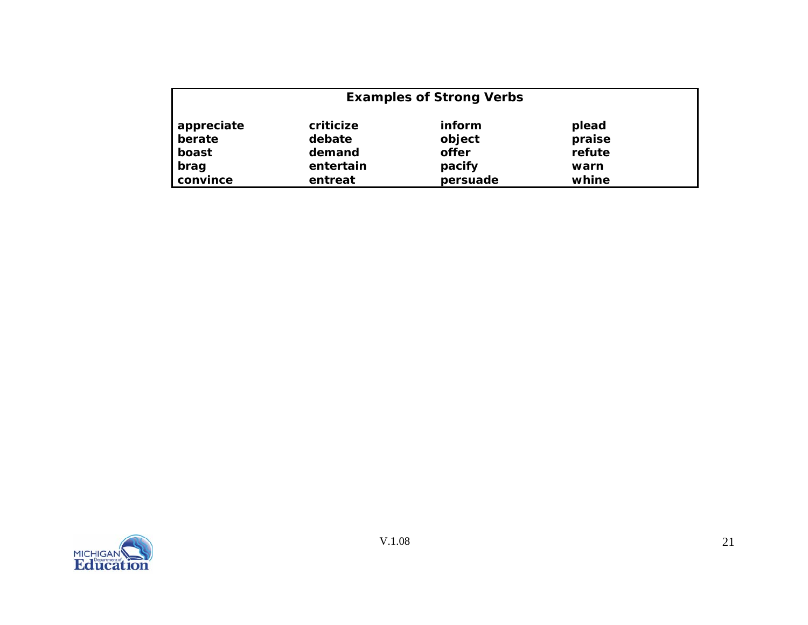|            |           | <b>Examples of Strong Verbs</b> |        |
|------------|-----------|---------------------------------|--------|
| appreciate | criticize | inform                          | plead  |
| berate     | debate    | object                          | praise |
| boast      | demand    | offer                           | refute |
| brag       | entertain | pacify                          | warn   |
| convince   | entreat   | persuade                        | whine  |

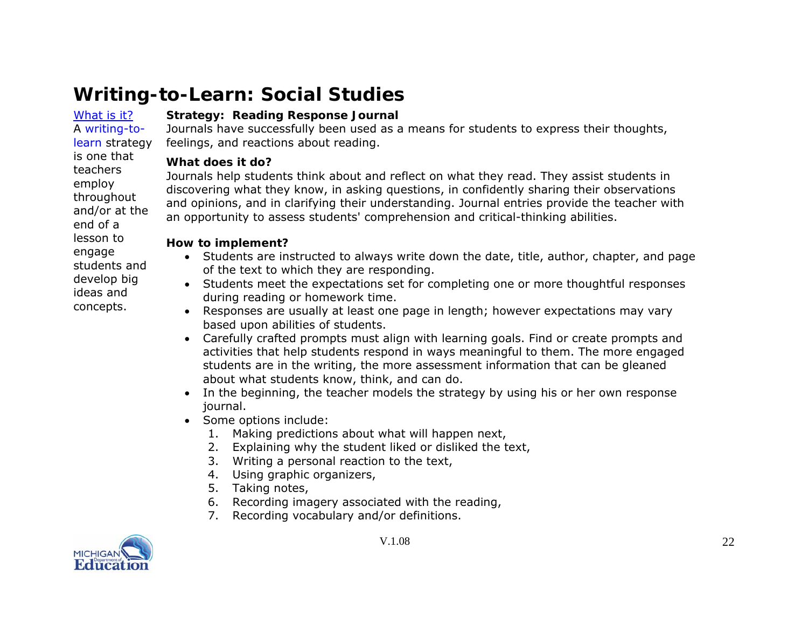#### <span id="page-21-0"></span>[What](#page-0-0) is it?A writing-to-

is one that teachers employ throughout and/or at the end of a lesson to engage students and develop big ideas and concepts.

# **Strategy: Reading Response Journal**

learn strategy Journals have successfully been used as a means for students to express their thoughts, feelings, and reactions about reading.

### **What does it do?**

Journals help students think about and reflect on what they read. They assist students in discovering what they know, in asking questions, in confidently sharing their observations and opinions, and in clarifying their understanding. Journal entries provide the teacher with an opportunity to assess students' comprehension and critical-thinking abilities.

### **How to implement?**

- Students are instructed to always write down the date, title, author, chapter, and page of the text to which they are responding.
- Students meet the expectations set for completing one or more thoughtful responses during reading or homework time.
- Responses are usually at least one page in length; however expectations may vary based upon abilities of students.
- Carefully crafted prompts must align with learning goals. Find or create prompts and activities that help students respond in ways meaningful to them. The more engaged students are in the writing, the more assessment information that can be gleaned about what students know, think, and can do.
- In the beginning, the teacher models the strategy by using his or her own response journal.
- Some options include:
	- 1. Making predictions about what will happen next,
	- 2. Explaining why the student liked or disliked the text,
	- 3. Writing a personal reaction to the text,
	- 4. Using graphic organizers,
	- 5. Taking notes,
	- 6. Recording imagery associated with the reading,
	- 7. Recording vocabulary and/or definitions.

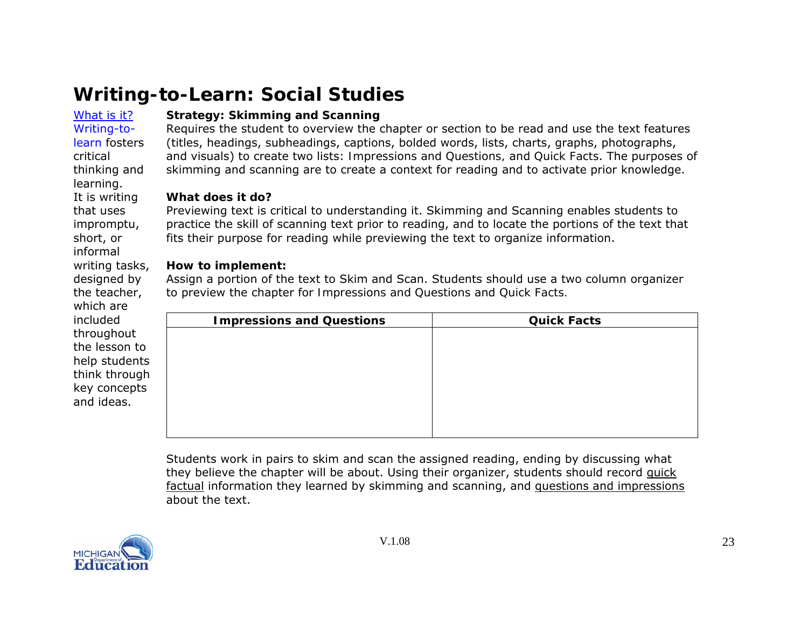#### <span id="page-22-0"></span>[What](#page-0-0) is it?Writing-to-

learn fosters

thinking and learning.

It is writing that uses impromptu, short, or informal writing tasks, designed by the teacher, which are included throughout the lesson to

critical

# **Strategy: Skimming and Scanning**

Requires the student to overview the chapter or section to be read and use the text features (titles, headings, subheadings, captions, bolded words, lists, charts, graphs, photographs, and visuals) to create two lists: *Impressions and Questions,* and *Quick Facts*. The purposes of skimming and scanning are to create a context for reading and to activate prior knowledge.

### **What does it do?**

Previewing text is critical to understanding it. Skimming and Scanning enables students to practice the skill of scanning text prior to reading, and to locate the portions of the text that fits their purpose for reading while previewing the text to organize information.

# **How to implement:**

Assign a portion of the text to Skim and Scan. Students should use a two column organizer to preview the chapter for *Impressions and Questions* and *Quick Facts.*

| included      | <b>Impressions and Questions</b> | <b>Quick Facts</b> |
|---------------|----------------------------------|--------------------|
| throughout    |                                  |                    |
| the lesson to |                                  |                    |
| help students |                                  |                    |
| think through |                                  |                    |
| key concepts  |                                  |                    |
| and ideas.    |                                  |                    |
|               |                                  |                    |
|               |                                  |                    |

Students work in pairs to skim and scan the assigned reading, ending by discussing what they believe the chapter will be about. Using their organizer, students should record quick factual information they learned by skimming and scanning, and questions and impressions about the text.

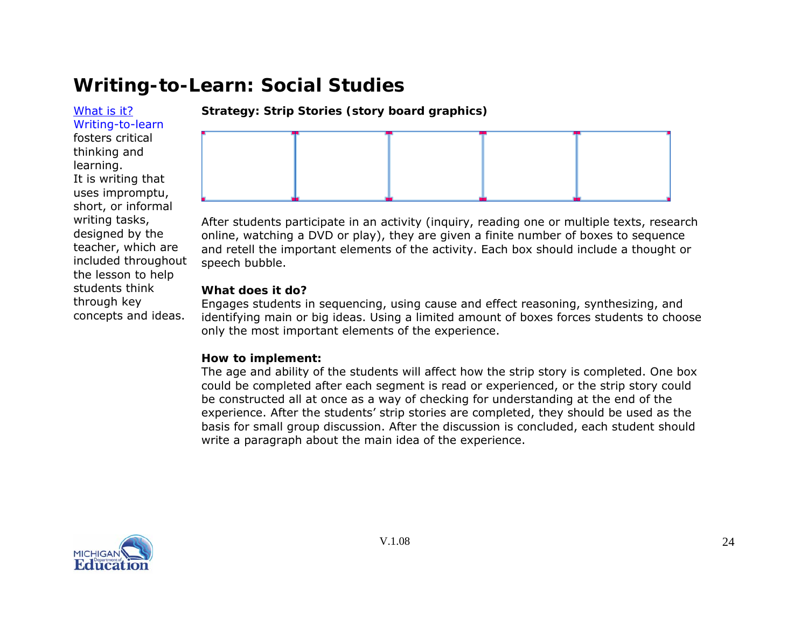<span id="page-23-0"></span>[What](#page-0-0) is it?Writing-to-learn fosters critical thinking and learning. It is writing that uses impromptu, short, or informal writing tasks, designed by the teacher, which are included throughout the lesson to help students think through key concepts and ideas.

**Strategy: Strip Stories (story board graphics)** 



After students participate in an activity (inquiry, reading one or multiple texts, research online, watching a DVD or play), they are given a finite number of boxes to sequence and retell the important elements of the activity. Each box should include a thought or speech bubble.

### **What does it do?**

Engages students in sequencing, using cause and effect reasoning, synthesizing, and identifying main or big ideas. Using a limited amount of boxes forces students to choose only the most important elements of the experience.

### **How to implement:**

The age and ability of the students will affect how the strip story is completed. One box could be completed after each segment is read or experienced, or the strip story could be constructed all at once as a way of checking for understanding at the end of the experience. After the students' strip stories are completed, they should be used as the basis for small group discussion. After the discussion is concluded, each student should write a paragraph about the main idea of the experience.

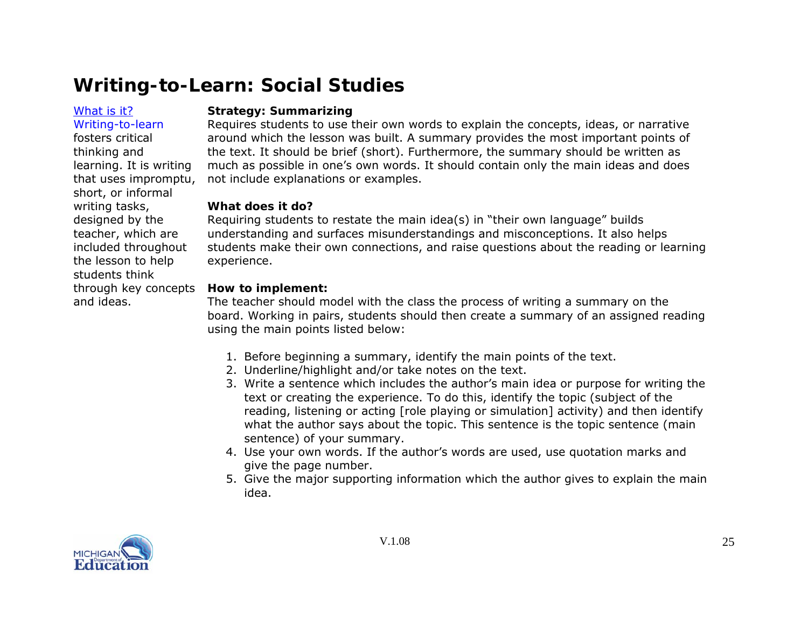### <span id="page-24-0"></span>[What](#page-0-0) is it?

and ideas.

Writing-to-learn fosters critical thinking and

learning. It is writing that uses impromptu, short, or informal writing tasks, designed by the teacher, which are included throughout the lesson to help students think

### **Strategy: Summarizing**

Requires students to use their own words to explain the concepts, ideas, or narrative around which the lesson was built. A summary provides the most important points of the text. It should be brief (short). Furthermore, the summary should be written as much as possible in one's own words. It should contain only the main ideas and does not include explanations or examples.

#### **What does it do?**

Requiring students to restate the main idea(s) in "their own language" builds understanding and surfaces misunderstandings and misconceptions. It also helps students make their own connections, and raise questions about the reading or learning experience.

#### through key concepts **How to implement:**

The teacher should model with the class the process of writing a summary on the board. Working in pairs, students should then create a summary of an assigned reading using the main points listed below:

- 1. Before beginning a summary, identify the main points of the text.
- 2. Underline/highlight and/or take notes on the text.
- 3. Write a sentence which includes the author's main idea or purpose for writing the text or creating the experience. To do this, identify the topic (subject of the reading, listening or acting [role playing or simulation] activity) and then identify what the author says about the topic. This sentence is the topic sentence (main sentence) of your summary.
- 4. Use your own words. If the author's words are used, use quotation marks and give the page number.
- 5. Give the major supporting information which the author gives to explain the main idea.

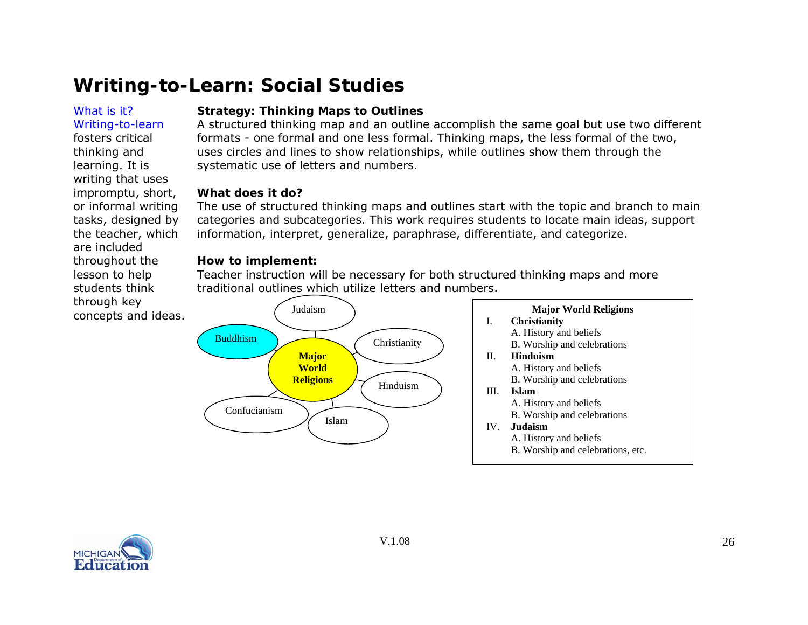#### <span id="page-25-0"></span>[What](#page-0-0) is it?Writing-to-learn

are included throughout the lesson to help students think through key

fosters critical thinking and learning. It is writing that uses impromptu, short, or informal writing tasks, designed by the teacher, which

### **Strategy: Thinking Maps to Outlines**

A structured thinking map and an outline accomplish the same goal but use two different formats - one formal and one less formal. Thinking maps, the less formal of the two, uses circles and lines to show relationships, while outlines show them through the systematic use of letters and numbers.

#### **What does it do?**

The use of structured thinking maps and outlines start with the topic and branch to main categories and subcategories. This work requires students to locate main ideas, support information, interpret, generalize, paraphrase, differentiate, and categorize.

#### **How to implement:**

Teacher instruction will be necessary for both structured thinking maps and more traditional outlines which utilize letters and numbers.



#### **Major World Religions**  I. **Christianity** A. History and beliefs B. Worship and celebrations II. **Hinduism** A. History and beliefs B. Worship and celebrations

- III. **Islam**
	- A. History and beliefs
	- B. Worship and celebrations

#### IV. **Judaism**

- A. History and beliefs
- B. Worship and celebrations, etc.

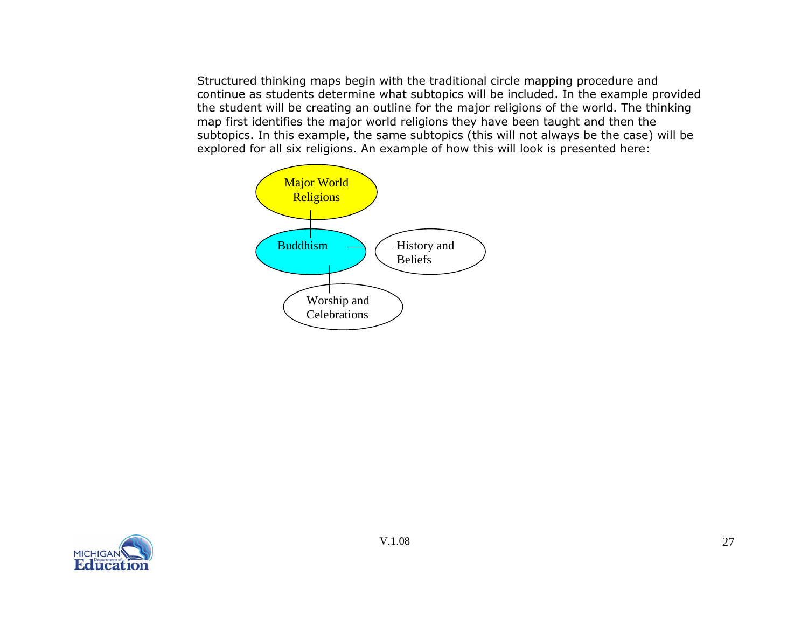Structured thinking maps begin with the traditional circle mapping procedure and continue as students determine what subtopics will be included. In the example provided the student will be creating an outline for the major religions of the world. The thinking map first identifies the major world religions they have been taught and then the subtopics. In this example, the same subtopics (this will not always be the case) will be explored for all six religions. An example of how this will look is presented here:



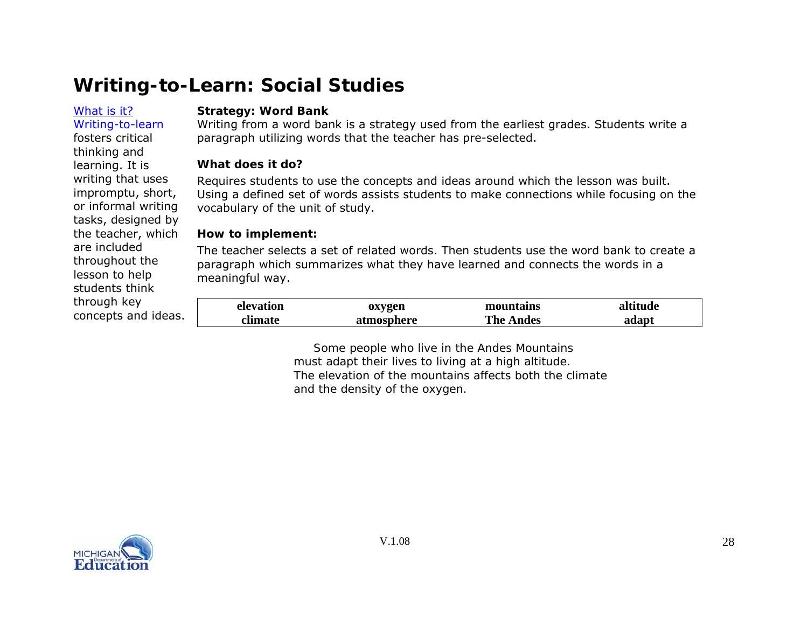#### <span id="page-27-0"></span>[What](#page-0-0) is it?Writing-to-learn

fosters critical thinking and learning. It is writing that uses impromptu, short, or informal writing tasks, designed by the teacher, which

are included throughout the lesson to help students think through key

concepts and ideas.

#### **Strategy: Word Bank**

Writing from a word bank is a strategy used from the earliest grades. Students write a paragraph utilizing words that the teacher has pre-selected.

### **What does it do?**

Requires students to use the concepts and ideas around which the lesson was built. Using a defined set of words assists students to make connections while focusing on the vocabulary of the unit of study.

### **How to implement:**

The teacher selects a set of related words. Then students use the word bank to create a paragraph which summarizes what they have learned and connects the words in a meaningful way.

| elevation | oxygen     | mountains        | altitude |
|-----------|------------|------------------|----------|
| climate   | atmosphere | <b>The Andes</b> | adapt    |

*Some people who live in the Andes Mountains must adapt their lives to living at a high altitude. The elevation of the mountains affects both the climate and the density of the oxygen.*

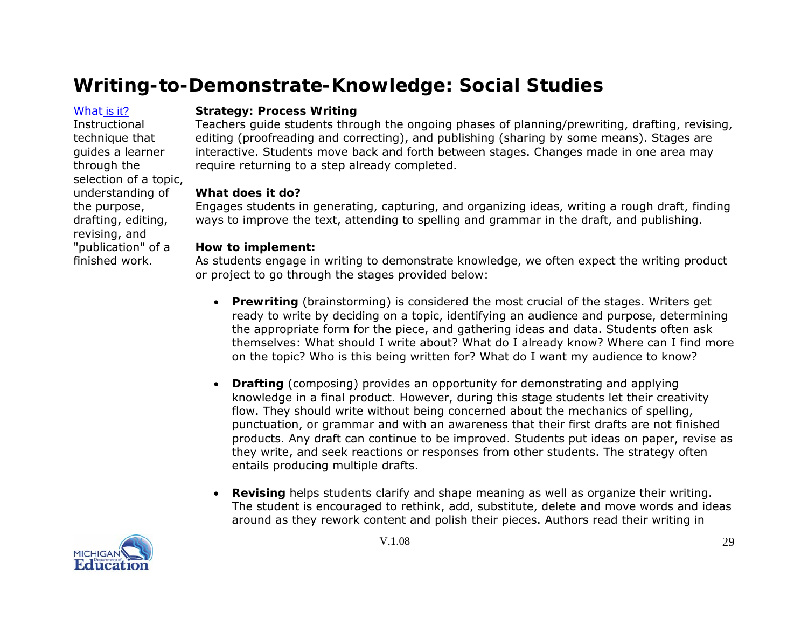### <span id="page-28-0"></span>[What](#page-0-0) is it?

**Instructional** technique that guides a learner through the selection of a topic, understanding of the purpose, drafting, editing, revising, and "publication" of a finished work.

### **Strategy: Process Writing**

Teachers guide students through the ongoing phases of planning/prewriting, drafting, revising, editing (proofreading and correcting), and publishing (sharing by some means). Stages are interactive. Students move back and forth between stages. Changes made in one area may require returning to a step already completed.

### **What does it do?**

Engages students in generating, capturing, and organizing ideas, writing a rough draft, finding ways to improve the text, attending to spelling and grammar in the draft, and publishing.

### **How to implement:**

As students engage in writing to demonstrate knowledge, we often expect the writing product or project to go through the stages provided below:

- **Prewriting** (brainstorming) is considered the most crucial of the stages. Writers get ready to write by deciding on a topic, identifying an audience and purpose, determining the appropriate form for the piece, and gathering ideas and data. Students often ask themselves: What should I write about? What do I already know? Where can I find more on the topic? Who is this being written for? What do I want my audience to know?
- **Drafting** (composing) provides an opportunity for demonstrating and applying knowledge in a final product. However, during this stage students let their creativity flow. They should write without being concerned about the mechanics of spelling, punctuation, or grammar and with an awareness that their first drafts are not finished products. Any draft can continue to be improved. Students put ideas on paper, revise as they write, and seek reactions or responses from other students. The strategy often entails producing multiple drafts.
- **Revising** helps students clarify and shape meaning as well as organize their writing. The student is encouraged to rethink, add, substitute, delete and move words and ideas around as they rework content and polish their pieces. Authors read their writing in

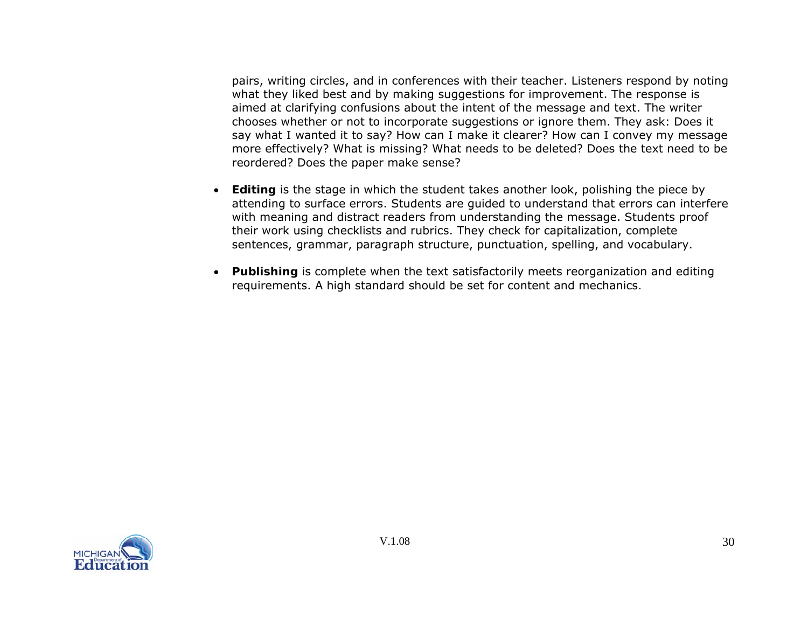pairs, writing circles, and in conferences with their teacher. Listeners respond by noting what they liked best and by making suggestions for improvement. The response is aimed at clarifying confusions about the intent of the message and text. The writer chooses whether or not to incorporate suggestions or ignore them. They ask: Does it say what I wanted it to say? How can I make it clearer? How can I convey my message more effectively? What is missing? What needs to be deleted? Does the text need to be reordered? Does the paper make sense?

- **Editing** is the stage in which the student takes another look, polishing the piece by attending to surface errors. Students are guided to understand that errors can interfere with meaning and distract readers from understanding the message. Students proof their work using checklists and rubrics. They check for capitalization, complete sentences, grammar, paragraph structure, punctuation, spelling, and vocabulary.
- **Publishing** is complete when the text satisfactorily meets reorganization and editing requirements. A high standard should be set for content and mechanics.

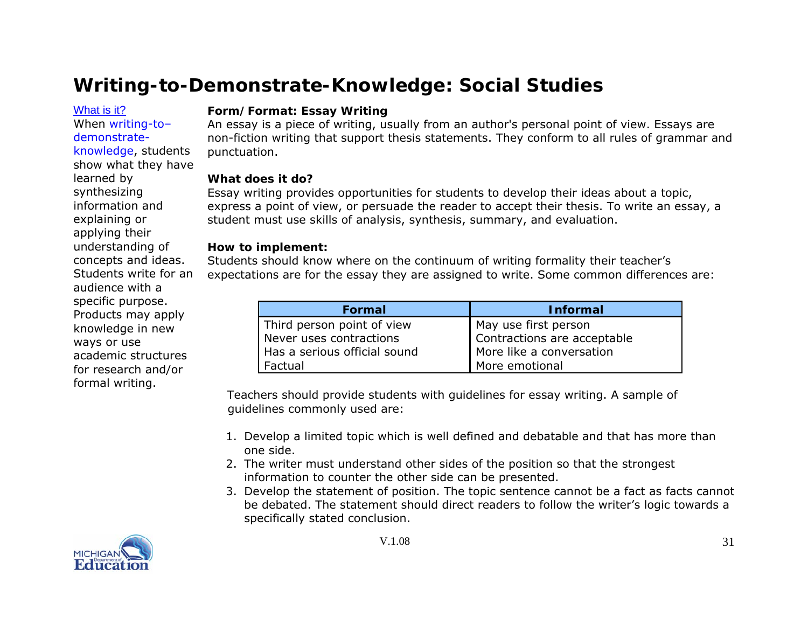<span id="page-30-0"></span>[What](#page-0-0) is it?

When writing-to– demonstrateknowledge, students show what they have learned by synthesizing information and explaining or applying their understanding of concepts and ideas. Students write for an audience with a specific purpose. Products may apply knowledge in new ways or use academic structures for research and/or formal writing.

### **Form/Format: Essay Writing**

An essay is a piece of [writing](http://en.wikipedia.org/wiki/Writing), usually from an author's personal [point of view](http://en.wikipedia.org/wiki/Point_of_view). Essays are non-fiction writing that support thesis statements. They conform to all rules of grammar and punctuation.

# **What does it do?**

Essay writing provides opportunities for students to develop their ideas about a topic, express a point of view, or persuade the reader to accept their thesis. To write an essay, a student must use skills of analysis, synthesis, summary, and evaluation.

# **How to implement:**

Students should know where on the continuum of writing formality their teacher's expectations are for the essay they are assigned to write. Some common differences are:

| Formal                       | <b>Informal</b>             |
|------------------------------|-----------------------------|
| Third person point of view   | May use first person        |
| Never uses contractions      | Contractions are acceptable |
| Has a serious official sound | More like a conversation    |
| Factual                      | More emotional              |

 Teachers should provide students with guidelines for essay writing. A sample of guidelines commonly used are:

- 1. Develop a limited topic which is well defined and debatable and that has more than one side.
- 2. The writer must understand other sides of the position so that the strongest information to counter the other side can be presented.
- 3. Develop the statement of position. The topic sentence cannot be a fact as facts cannot be debated. The statement should direct readers to follow the writer's logic towards a specifically stated conclusion.

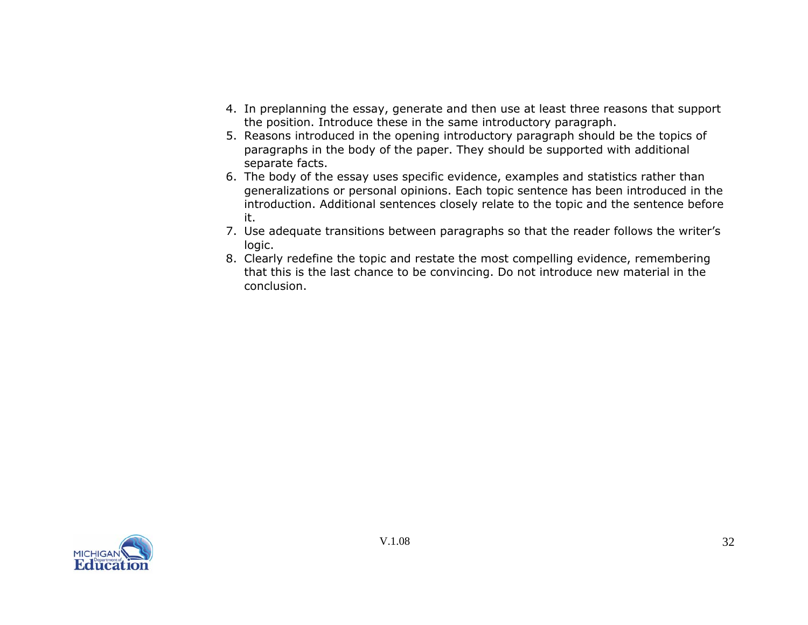- 4. In preplanning the essay, generate and then use at least three reasons that support the position. Introduce these in the same introductory paragraph.
- 5. Reasons introduced in the opening introductory paragraph should be the topics of paragraphs in the body of the paper. They should be supported with additional separate facts.
- 6. The body of the essay uses specific evidence, examples and statistics rather than generalizations or personal opinions. Each topic sentence has been introduced in the introduction. Additional sentences closely relate to the topic and the sentence before it.
- 7. Use adequate transitions between paragraphs so that the reader follows the writer's logic.
- 8. Clearly redefine the topic and restate the most compelling evidence, remembering that this is the last chance to be convincing. Do not introduce new material in the conclusion.

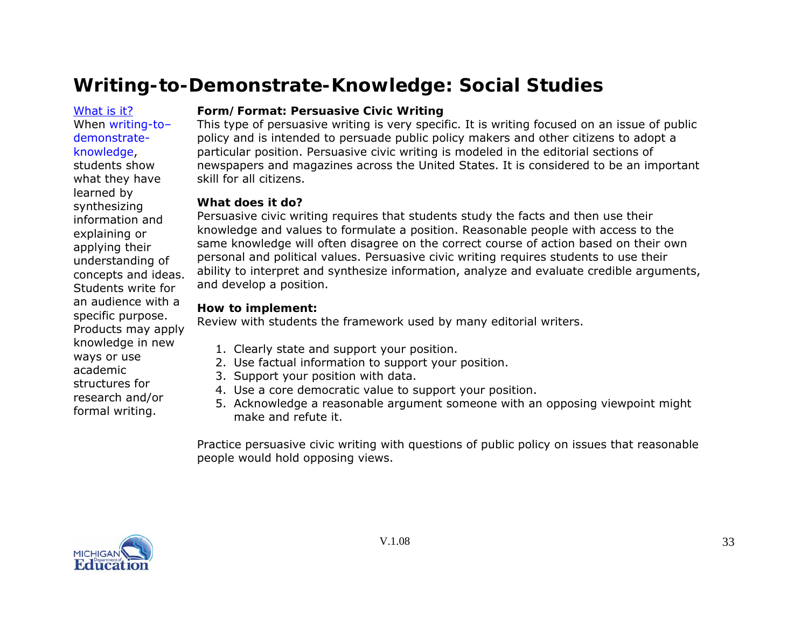<span id="page-32-0"></span>[What](#page-0-0) is it?When writing-todemonstrateknowledge, students show what they have learned by synthesizing information and explaining or applying their understanding of concepts and ideas. Students write for an audience with a specific purpose. Products may apply knowledge in new ways or use academic structures for research and/or formal writing.

# **Form/Format: Persuasive Civic Writing**

This type of persuasive writing is very specific. It is writing focused on an issue of public policy and is intended to persuade public policy makers and other citizens to adopt a particular position. Persuasive civic writing is modeled in the editorial sections of newspapers and magazines across the United States. It is considered to be an important skill for all citizens.

# **What does it do?**

Persuasive civic writing requires that students study the facts and then use their knowledge and values to formulate a position. Reasonable people with access to the same knowledge will often disagree on the correct course of action based on their own personal and political values. Persuasive civic writing requires students to use their ability to interpret and synthesize information, analyze and evaluate credible arguments, and develop a position.

# **How to implement:**

Review with students the framework used by many editorial writers.

- 1. Clearly state and support your position.
- 2. Use factual information to support your position.
- 3. Support your position with data.
- 4. Use a core democratic value to support your position.
- 5. Acknowledge a reasonable argument someone with an opposing viewpoint might make and refute it.

Practice persuasive civic writing with questions of public policy on issues that reasonable people would hold opposing views.

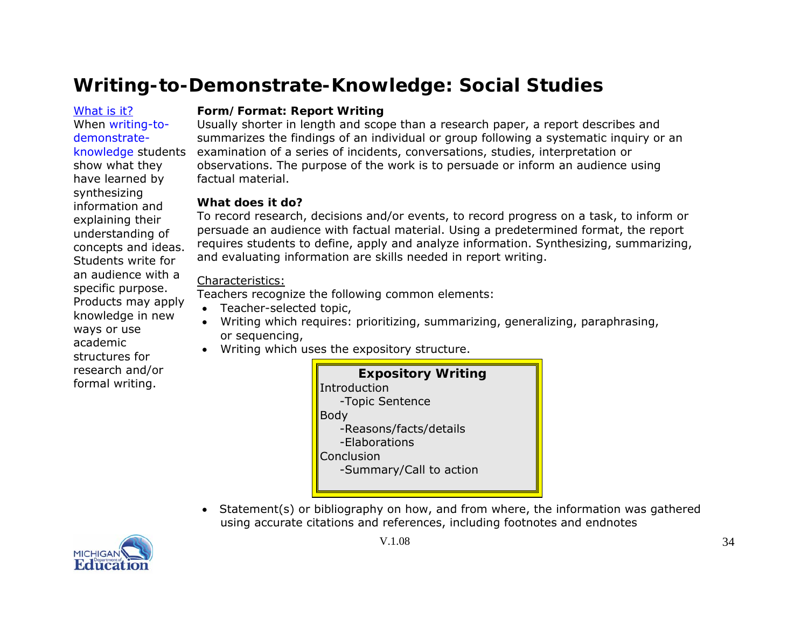<span id="page-33-0"></span>[What](#page-0-0) is it?When writing-todemonstrateknowledge students show what they have learned by synthesizing information and explaining their understanding of concepts and ideas. Students write for an audience with a specific purpose. Products may apply knowledge in new ways or use academic structures for research and/or formal writing.

### **Form/Format: Report Writing**

Usually shorter in length and scope than a research paper, a report describes and summarizes the findings of an individual or group following a systematic inquiry or an examination of a series of incidents, conversations, studies, interpretation or observations. The purpose of the work is to persuade or inform an audience using factual material.

# **What does it do?**

To record research, decisions and/or events, to record progress on a task, to inform or persuade an audience with factual material. Using a predetermined format, the report requires students to define, apply and analyze information. Synthesizing, summarizing, and evaluating information are skills needed in report writing.

# Characteristics:

Teachers recognize the following common elements:

- Teacher-selected topic,
- Writing which requires: prioritizing, summarizing, generalizing, paraphrasing, or sequencing,
- Writing which uses the expository structure.

| <b>Expository Writing</b> |
|---------------------------|
| Introduction              |
| -Topic Sentence           |
| Body                      |
| -Reasons/facts/details    |
| -Elaborations             |
| Conclusion                |
| -Summary/Call to action   |
|                           |

• Statement(s) or bibliography on how, and from where, the information was gathered using accurate citations and references, including footnotes and endnotes

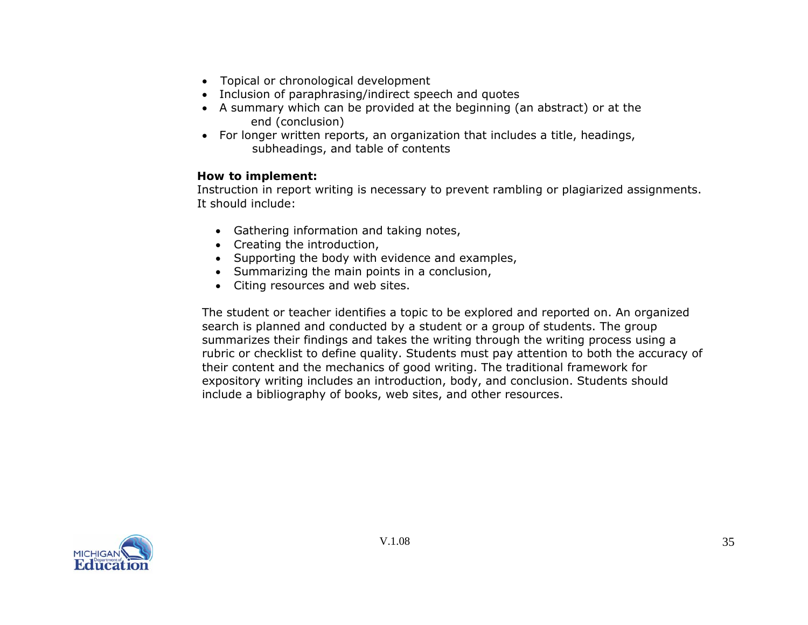- Topical or chronological development
- Inclusion of paraphrasing/indirect speech and quotes
- A summary which can be provided at the beginning (an abstract) or at the end (conclusion)
- For longer written reports, an organization that includes a title, headings, subheadings, and table of contents

### **How to implement:**

Instruction in report writing is necessary to prevent rambling or plagiarized assignments. It should include:

- Gathering information and taking notes,
- Creating the introduction,
- Supporting the body with evidence and examples,
- Summarizing the main points in a conclusion,
- Citing resources and web sites.

The student or teacher identifies a topic to be explored and reported on. An organized search is planned and conducted by a student or a group of students. The group summarizes their findings and takes the writing through the writing process using a rubric or checklist to define quality. Students must pay attention to both the accuracy of their content and the mechanics of good writing. The traditional framework for expository writing includes an introduction, body, and conclusion. Students should include a bibliography of books, web sites, and other resources.

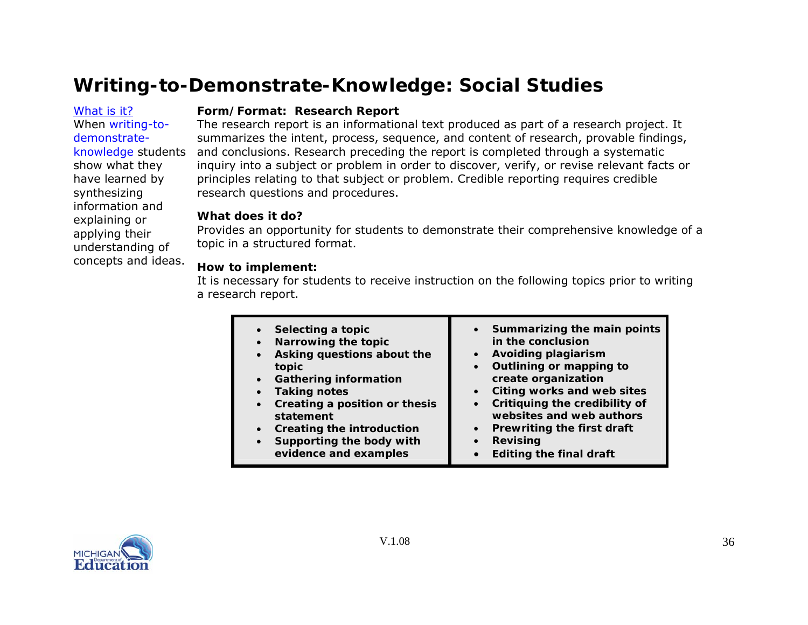<span id="page-35-0"></span>[What](#page-0-0) is it?When writing-todemonstrateknowledge students show what they have learned by synthesizing information and explaining or applying their understanding of concepts and ideas.

#### **Form/Format: Research Report**

The research report is an informational text produced as part of a research project. It summarizes the intent, process, sequence, and content of research, provable findings, and conclusions. Research preceding the report is completed through a systematic inquiry into a subject or problem in order to discover, verify, or revise relevant facts or principles relating to that subject or problem. Credible reporting requires credible research questions and procedures.

#### **What does it do?**

Provides an opportunity for students to demonstrate their comprehensive knowledge of a topic in a structured format.

### **How to implement:**

It is necessary for students to receive instruction on the following topics prior to writing a research report.